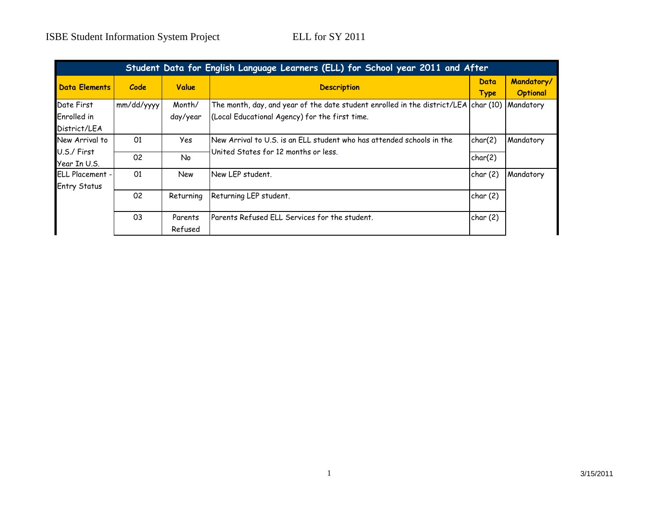| Student Data for English Language Learners (ELL) for School year 2011 and After |            |                    |                                                                                                                                       |                     |                               |  |
|---------------------------------------------------------------------------------|------------|--------------------|---------------------------------------------------------------------------------------------------------------------------------------|---------------------|-------------------------------|--|
| <b>Data Elements</b>                                                            | Code       | Value              | <b>Description</b>                                                                                                                    | Data<br><b>Type</b> | Mandatory/<br><b>Optional</b> |  |
| Date First<br>Enrolled in<br>District/LEA                                       | mm/dd/yyyy | Month/<br>day/year | The month, day, and year of the date student enrolled in the district/LEA char (10)<br>(Local Educational Agency) for the first time. |                     | Mandatory                     |  |
| New Arrival to<br>U.S./ First                                                   | 01<br>02   | Yes<br><b>No</b>   | New Arrival to U.S. is an ELL student who has attended schools in the<br>United States for 12 months or less.                         | char(2)<br>char(2)  | Mandatory                     |  |
| Year In U.S.<br><b>ELL Placement -</b><br><b>Entry Status</b>                   | 01         | New                | New LEP student.                                                                                                                      | char(2)             | Mandatory                     |  |
|                                                                                 | 02         | Returning          | Returning LEP student.                                                                                                                | char(2)             |                               |  |
|                                                                                 | 03         | Parents<br>Refused | Parents Refused ELL Services for the student.                                                                                         | char(2)             |                               |  |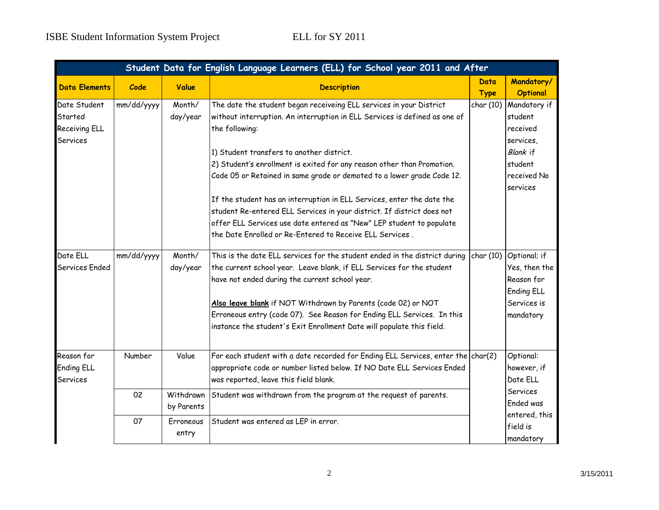| Student Data for English Language Learners (ELL) for School year 2011 and After |            |            |                                                                                                                                                            |             |                       |  |  |
|---------------------------------------------------------------------------------|------------|------------|------------------------------------------------------------------------------------------------------------------------------------------------------------|-------------|-----------------------|--|--|
| <b>Data Elements</b>                                                            | Code       | Value      | <b>Description</b>                                                                                                                                         | Data        | Mandatory/            |  |  |
|                                                                                 |            |            |                                                                                                                                                            | <b>Type</b> | <b>Optional</b>       |  |  |
| Date Student                                                                    | mm/dd/yyyy | Month/     | The date the student began receiveing ELL services in your District                                                                                        | char (10)   | Mandatory if          |  |  |
| Started                                                                         |            | day/year   | without interruption. An interruption in ELL Services is defined as one of                                                                                 |             | student               |  |  |
| <b>Receiving ELL</b>                                                            |            |            | the following:                                                                                                                                             |             | received              |  |  |
| <b>Services</b>                                                                 |            |            |                                                                                                                                                            |             | services,             |  |  |
|                                                                                 |            |            | 1) Student transfers to another district.                                                                                                                  |             | Blank if              |  |  |
|                                                                                 |            |            | 2) Student's enrollment is exited for any reason other than Promotion.                                                                                     |             | student               |  |  |
|                                                                                 |            |            | Code 05 or Retained in same grade or demoted to a lower grade Code 12.                                                                                     |             | received No           |  |  |
|                                                                                 |            |            |                                                                                                                                                            |             | services              |  |  |
|                                                                                 |            |            | If the student has an interruption in ELL Services, enter the date the                                                                                     |             |                       |  |  |
|                                                                                 |            |            | student Re-entered ELL Services in your district. If district does not                                                                                     |             |                       |  |  |
|                                                                                 |            |            | offer ELL Services use date entered as "New" LEP student to populate                                                                                       |             |                       |  |  |
|                                                                                 |            |            | the Date Enrolled or Re-Entered to Receive ELL Services.                                                                                                   |             |                       |  |  |
| Date ELL                                                                        | mm/dd/yyyy | Month/     | This is the date ELL services for the student ended in the district during                                                                                 | char (10)   | Optional; if          |  |  |
| Services Ended                                                                  |            | day/year   | the current school year. Leave blank, if ELL Services for the student                                                                                      |             | Yes, then the         |  |  |
|                                                                                 |            |            | have not ended during the current school year.                                                                                                             |             | Reason for            |  |  |
|                                                                                 |            |            |                                                                                                                                                            |             | <b>Ending ELL</b>     |  |  |
|                                                                                 |            |            | Also leave blank if NOT Withdrawn by Parents (code 02) or NOT                                                                                              |             | Services is           |  |  |
|                                                                                 |            |            | Erroneous entry (code 07). See Reason for Ending ELL Services. In this                                                                                     |             | mandatory             |  |  |
|                                                                                 |            |            | instance the student's Exit Enrollment Date will populate this field.                                                                                      |             |                       |  |  |
| Reason for                                                                      | Number     | Value      |                                                                                                                                                            |             | Optional:             |  |  |
| <b>Ending ELL</b>                                                               |            |            | For each student with a date recorded for Ending ELL Services, enter the char(2)<br>appropriate code or number listed below. If NO Date ELL Services Ended |             | however, if           |  |  |
|                                                                                 |            |            | was reported, leave this field blank.                                                                                                                      |             | Date ELL              |  |  |
| <b>Services</b>                                                                 |            |            |                                                                                                                                                            |             |                       |  |  |
|                                                                                 | 02         | Withdrawn  | Student was withdrawn from the program at the request of parents.                                                                                          |             | Services<br>Ended was |  |  |
|                                                                                 |            | by Parents |                                                                                                                                                            |             |                       |  |  |
|                                                                                 | 07         | Erroneous  | Student was entered as LEP in error.                                                                                                                       |             | entered, this         |  |  |
|                                                                                 |            | entry      |                                                                                                                                                            |             | field is              |  |  |
|                                                                                 |            |            |                                                                                                                                                            |             | mandatory             |  |  |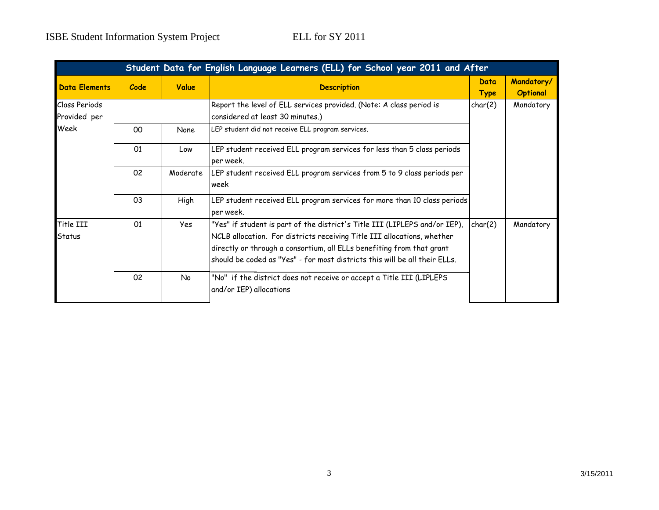| Student Data for English Language Learners (ELL) for School year 2011 and After |      |             |                                                                                                                                                                                                                                                                                                              |                     |                               |  |
|---------------------------------------------------------------------------------|------|-------------|--------------------------------------------------------------------------------------------------------------------------------------------------------------------------------------------------------------------------------------------------------------------------------------------------------------|---------------------|-------------------------------|--|
| <b>Data Elements</b>                                                            | Code | Value       | <b>Description</b>                                                                                                                                                                                                                                                                                           | Data<br><b>Type</b> | Mandatory/<br><b>Optional</b> |  |
| <b>Class Periods</b><br>Provided per                                            |      |             | Report the level of ELL services provided. (Note: A class period is<br>considered at least 30 minutes.)                                                                                                                                                                                                      | char(2)             | Mandatory                     |  |
| Week                                                                            | 00   | <b>None</b> | LEP student did not receive ELL program services.                                                                                                                                                                                                                                                            |                     |                               |  |
|                                                                                 | 01   | Low         | LEP student received ELL program services for less than 5 class periods<br>per week.                                                                                                                                                                                                                         |                     |                               |  |
|                                                                                 | 02   | Moderate    | LEP student received ELL program services from 5 to 9 class periods per<br>week                                                                                                                                                                                                                              |                     |                               |  |
|                                                                                 | 03   | High        | LEP student received ELL program services for more than 10 class periods<br>per week.                                                                                                                                                                                                                        |                     |                               |  |
| Title III<br>Status                                                             | 01   | Yes         | "Yes" if student is part of the district's Title III (LIPLEPS and/or IEP),<br>NCLB allocation. For districts receiving Title III allocations, whether<br>directly or through a consortium, all ELLs benefiting from that grant<br>should be coded as "Yes" - for most districts this will be all their ELLs. | char(2)             | Mandatory                     |  |
|                                                                                 | 02   | No          | "No" if the district does not receive or accept a Title III (LIPLEPS<br>and/or IEP) allocations                                                                                                                                                                                                              |                     |                               |  |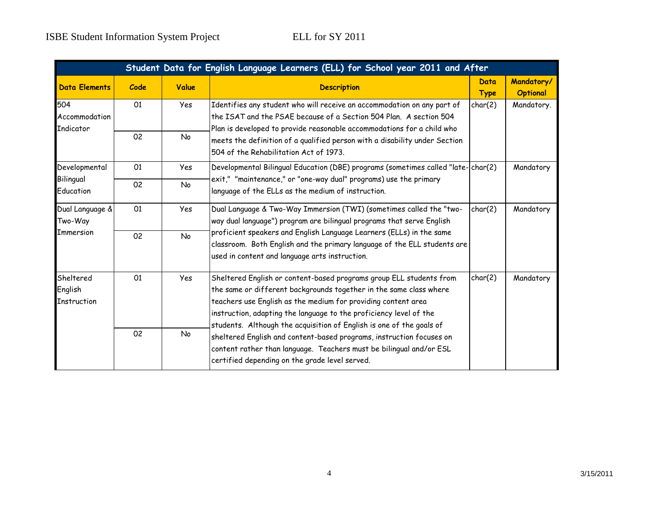and the control of the control of the control of the control of the control of the control of the control of the

| Student Data for English Language Learners (ELL) for School year 2011 and After |      |           |                                                                                                                                                                                                                                                                                                                                                                                                                                                                                                                                                           |                     |                               |  |
|---------------------------------------------------------------------------------|------|-----------|-----------------------------------------------------------------------------------------------------------------------------------------------------------------------------------------------------------------------------------------------------------------------------------------------------------------------------------------------------------------------------------------------------------------------------------------------------------------------------------------------------------------------------------------------------------|---------------------|-------------------------------|--|
| <b>Data Elements</b>                                                            | Code | Value     | <b>Description</b>                                                                                                                                                                                                                                                                                                                                                                                                                                                                                                                                        | Data<br><b>Type</b> | Mandatory/<br><b>Optional</b> |  |
| 504<br>Accommodation<br>Indicator                                               | 01   | Yes       | Identifies any student who will receive an accommodation on any part of<br>the ISAT and the PSAE because of a Section 504 Plan. A section 504<br>Plan is developed to provide reasonable accommodations for a child who<br>meets the definition of a qualified person with a disability under Section<br>504 of the Rehabilitation Act of 1973.                                                                                                                                                                                                           | char(2)             | Mandatory.                    |  |
|                                                                                 | 02   | No        |                                                                                                                                                                                                                                                                                                                                                                                                                                                                                                                                                           |                     |                               |  |
| Developmental                                                                   | 01   | Yes       | Developmental Bilingual Education (DBE) programs (sometimes called "late-char(2)<br>exit," "maintenance," or "one-way dual" programs) use the primary<br>language of the ELLs as the medium of instruction.                                                                                                                                                                                                                                                                                                                                               |                     | Mandatory                     |  |
| Bilingual<br>Education                                                          | 02   | No        |                                                                                                                                                                                                                                                                                                                                                                                                                                                                                                                                                           |                     |                               |  |
| Dual Language &<br>Two-Way<br><b>Immersion</b>                                  | 01   | Yes       | Dual Language & Two-Way Immersion (TWI) (sometimes called the "two-<br>way dual language") program are bilingual programs that serve English<br>proficient speakers and English Language Learners (ELLs) in the same<br>classroom. Both English and the primary language of the ELL students are<br>used in content and language arts instruction.                                                                                                                                                                                                        | char(2)             | Mandatory                     |  |
|                                                                                 | 02   | <b>No</b> |                                                                                                                                                                                                                                                                                                                                                                                                                                                                                                                                                           |                     |                               |  |
| Sheltered<br>English<br>Instruction                                             | 01   | Yes       | Sheltered English or content-based programs group ELL students from<br>the same or different backgrounds together in the same class where<br>teachers use English as the medium for providing content area<br>instruction, adapting the language to the proficiency level of the<br>students. Although the acquisition of English is one of the goals of<br>sheltered English and content-based programs, instruction focuses on<br>content rather than language. Teachers must be bilingual and/or ESL<br>certified depending on the grade level served. | char(2)             | Mandatory                     |  |
|                                                                                 | 02   | No        |                                                                                                                                                                                                                                                                                                                                                                                                                                                                                                                                                           |                     |                               |  |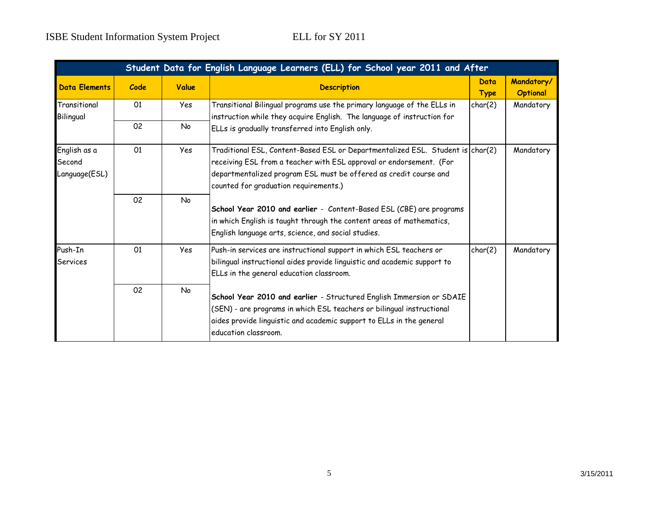| Student Data for English Language Learners (ELL) for School year 2011 and After |      |            |                                                                                                                                                                                                                                                                     |                     |                               |  |
|---------------------------------------------------------------------------------|------|------------|---------------------------------------------------------------------------------------------------------------------------------------------------------------------------------------------------------------------------------------------------------------------|---------------------|-------------------------------|--|
| <b>Data Elements</b>                                                            | Code | Value      | <b>Description</b>                                                                                                                                                                                                                                                  | Data<br><b>Type</b> | Mandatory/<br><b>Optional</b> |  |
| Transitional<br>Bilingual                                                       | 01   | Yes        | Transitional Bilingual programs use the primary language of the ELLs in<br>instruction while they acquire English. The language of instruction for                                                                                                                  | char(2)             | Mandatory                     |  |
|                                                                                 | 02   | No.        | ELLs is gradually transferred into English only.                                                                                                                                                                                                                    |                     |                               |  |
| English as a<br>Second<br>Language(ESL)                                         | 01   | <b>Yes</b> | Traditional ESL, Content-Based ESL or Departmentalized ESL. Student is char(2)<br>receiving ESL from a teacher with ESL approval or endorsement. (For<br>departmentalized program ESL must be offered as credit course and<br>counted for graduation requirements.) |                     | Mandatory                     |  |
|                                                                                 | 02   | No         | School Year 2010 and earlier - Content-Based ESL (CBE) are programs<br>in which English is taught through the content areas of mathematics,<br>English language arts, science, and social studies.                                                                  |                     |                               |  |
| Push-In<br>Services                                                             | 01   | <b>Yes</b> | Push-in services are instructional support in which ESL teachers or<br>bilingual instructional aides provide linguistic and academic support to<br>ELLs in the general education classroom.                                                                         | char(2)             | Mandatory                     |  |
|                                                                                 | 02   | No         | School Year 2010 and earlier - Structured English Immersion or SDAIE<br>(SEN) - are programs in which ESL teachers or bilingual instructional<br>aides provide linguistic and academic support to ELLs in the general<br>education classroom.                       |                     |                               |  |